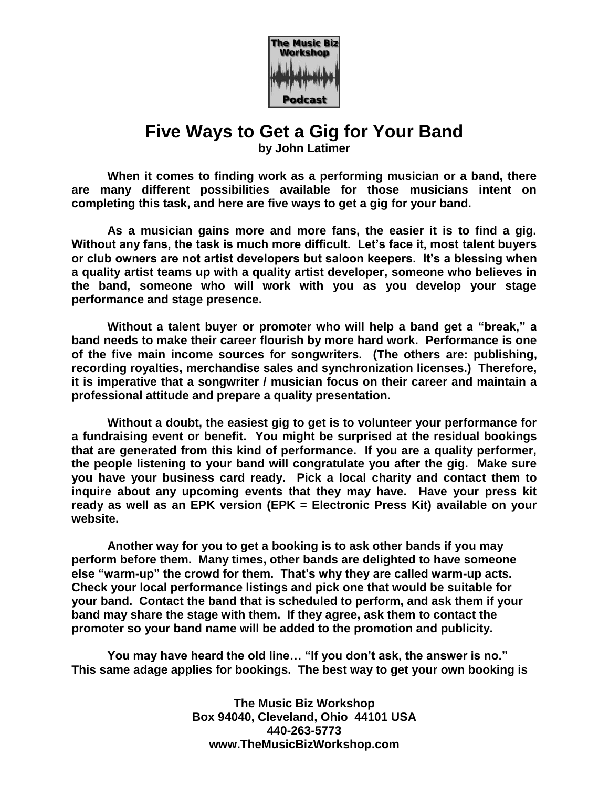

## **Five Ways to Get a Gig for Your Band**

**by John Latimer**

**When it comes to finding work as a performing musician or a band, there are many different possibilities available for those musicians intent on completing this task, and here are five ways to get a gig for your band.**

**As a musician gains more and more fans, the easier it is to find a gig. Without any fans, the task is much more difficult. Let's face it, most talent buyers or club owners are not artist developers but saloon keepers. It's a blessing when a quality artist teams up with a quality artist developer, someone who believes in the band, someone who will work with you as you develop your stage performance and stage presence.** 

**Without a talent buyer or promoter who will help a band get a "break," a band needs to make their career flourish by more hard work. Performance is one of the five main income sources for songwriters. (The others are: publishing, recording royalties, merchandise sales and synchronization licenses.) Therefore, it is imperative that a songwriter / musician focus on their career and maintain a professional attitude and prepare a quality presentation.**

**Without a doubt, the easiest gig to get is to volunteer your performance for a fundraising event or benefit. You might be surprised at the residual bookings that are generated from this kind of performance. If you are a quality performer, the people listening to your band will congratulate you after the gig. Make sure you have your business card ready. Pick a local charity and contact them to inquire about any upcoming events that they may have. Have your press kit ready as well as an EPK version (EPK = Electronic Press Kit) available on your website.**

**Another way for you to get a booking is to ask other bands if you may perform before them. Many times, other bands are delighted to have someone else "warm-up" the crowd for them. That's why they are called warm-up acts. Check your local performance listings and pick one that would be suitable for your band. Contact the band that is scheduled to perform, and ask them if your band may share the stage with them. If they agree, ask them to contact the promoter so your band name will be added to the promotion and publicity.**

**You may have heard the old line… "If you don't ask, the answer is no." This same adage applies for bookings. The best way to get your own booking is** 

> **The Music Biz Workshop Box 94040, Cleveland, Ohio 44101 USA 440-263-5773 www.TheMusicBizWorkshop.com**